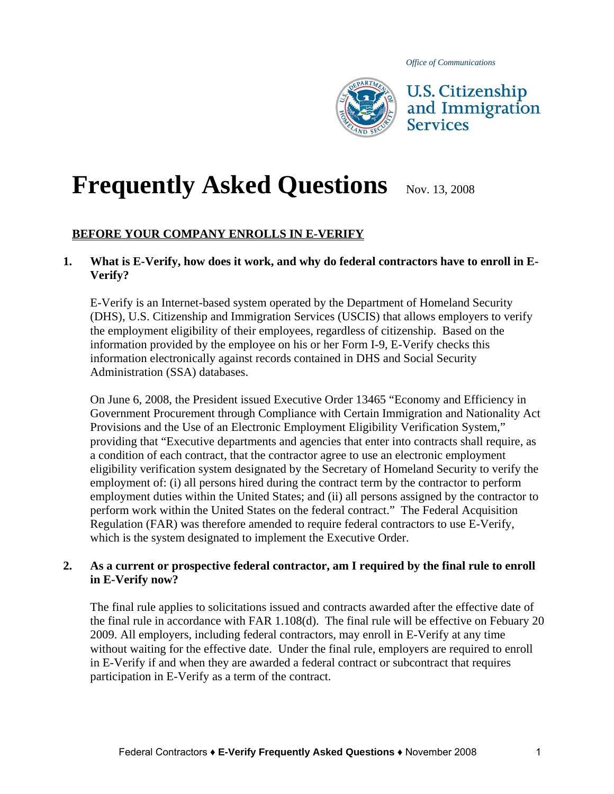*Office of Communications*



# **Frequently Asked Questions** Nov. 13, 2008

# **BEFORE YOUR COMPANY ENROLLS IN E-VERIFY**

## **1. What is E-Verify, how does it work, and why do federal contractors have to enroll in E-Verify?**

E-Verify is an Internet-based system operated by the Department of Homeland Security (DHS), U.S. Citizenship and Immigration Services (USCIS) that allows employers to verify the employment eligibility of their employees, regardless of citizenship. Based on the information provided by the employee on his or her Form I-9, E-Verify checks this information electronically against records contained in DHS and Social Security Administration (SSA) databases.

On June 6, 2008, the President issued Executive Order 13465 "Economy and Efficiency in Government Procurement through Compliance with Certain Immigration and Nationality Act Provisions and the Use of an Electronic Employment Eligibility Verification System," providing that "Executive departments and agencies that enter into contracts shall require, as a condition of each contract, that the contractor agree to use an electronic employment eligibility verification system designated by the Secretary of Homeland Security to verify the employment of: (i) all persons hired during the contract term by the contractor to perform employment duties within the United States; and (ii) all persons assigned by the contractor to perform work within the United States on the federal contract." The Federal Acquisition Regulation (FAR) was therefore amended to require federal contractors to use E-Verify, which is the system designated to implement the Executive Order.

# **2. As a current or prospective federal contractor, am I required by the final rule to enroll in E-Verify now?**

The final rule applies to solicitations issued and contracts awarded after the effective date of the final rule in accordance with FAR 1.108(d). The final rule will be effective on Febuary 20 2009. All employers, including federal contractors, may enroll in E-Verify at any time without waiting for the effective date. Under the final rule, employers are required to enroll in E-Verify if and when they are awarded a federal contract or subcontract that requires participation in E-Verify as a term of the contract.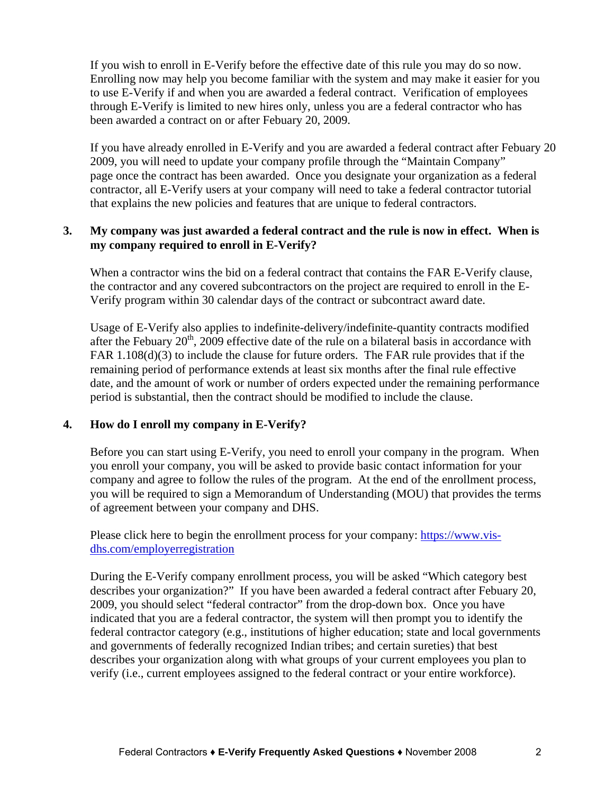If you wish to enroll in E-Verify before the effective date of this rule you may do so now. Enrolling now may help you become familiar with the system and may make it easier for you to use E-Verify if and when you are awarded a federal contract. Verification of employees through E-Verify is limited to new hires only, unless you are a federal contractor who has been awarded a contract on or after Febuary 20, 2009.

If you have already enrolled in E-Verify and you are awarded a federal contract after Febuary 20 2009, you will need to update your company profile through the "Maintain Company" page once the contract has been awarded. Once you designate your organization as a federal contractor, all E-Verify users at your company will need to take a federal contractor tutorial that explains the new policies and features that are unique to federal contractors.

## **3. My company was just awarded a federal contract and the rule is now in effect. When is my company required to enroll in E-Verify?**

When a contractor wins the bid on a federal contract that contains the FAR E-Verify clause, the contractor and any covered subcontractors on the project are required to enroll in the E-Verify program within 30 calendar days of the contract or subcontract award date.

Usage of E-Verify also applies to indefinite-delivery/indefinite-quantity contracts modified after the Febuary  $20<sup>th</sup>$ , 2009 effective date of the rule on a bilateral basis in accordance with FAR 1.108(d)(3) to include the clause for future orders. The FAR rule provides that if the remaining period of performance extends at least six months after the final rule effective date, and the amount of work or number of orders expected under the remaining performance period is substantial, then the contract should be modified to include the clause.

# **4. How do I enroll my company in E-Verify?**

Before you can start using E-Verify, you need to enroll your company in the program. When you enroll your company, you will be asked to provide basic contact information for your company and agree to follow the rules of the program. At the end of the enrollment process, you will be required to sign a Memorandum of Understanding (MOU) that provides the terms of agreement between your company and DHS.

Please click here to begin the enrollment process for your company: [https://www.vis](https://www.vis-dhs.com/employerregistration)[dhs.com/employerregistration](https://www.vis-dhs.com/employerregistration)

During the E-Verify company enrollment process, you will be asked "Which category best describes your organization?" If you have been awarded a federal contract after Febuary 20, 2009, you should select "federal contractor" from the drop-down box. Once you have indicated that you are a federal contractor, the system will then prompt you to identify the federal contractor category (e.g., institutions of higher education; state and local governments and governments of federally recognized Indian tribes; and certain sureties) that best describes your organization along with what groups of your current employees you plan to verify (i.e., current employees assigned to the federal contract or your entire workforce).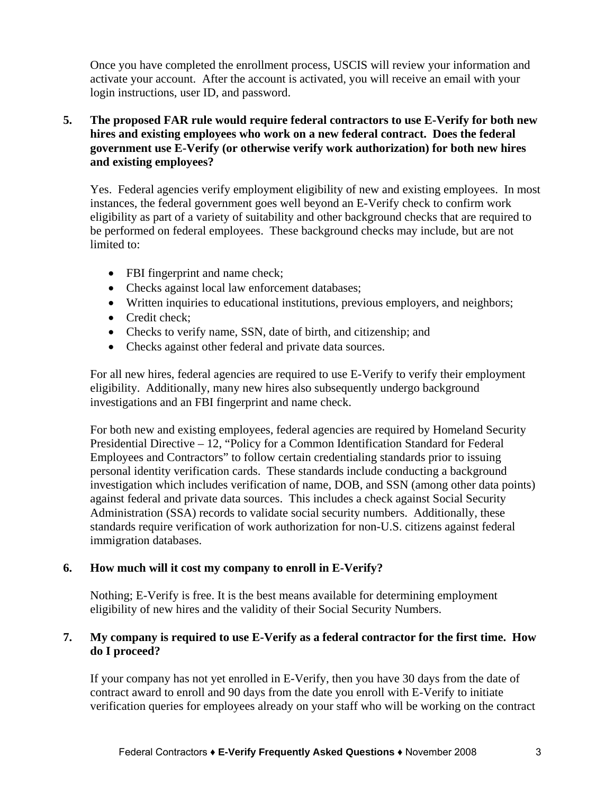Once you have completed the enrollment process, USCIS will review your information and activate your account. After the account is activated, you will receive an email with your login instructions, user ID, and password.

# **5. The proposed FAR rule would require federal contractors to use E-Verify for both new hires and existing employees who work on a new federal contract. Does the federal government use E-Verify (or otherwise verify work authorization) for both new hires and existing employees?**

Yes. Federal agencies verify employment eligibility of new and existing employees. In most instances, the federal government goes well beyond an E-Verify check to confirm work eligibility as part of a variety of suitability and other background checks that are required to be performed on federal employees. These background checks may include, but are not limited to:

- FBI fingerprint and name check;
- Checks against local law enforcement databases:
- Written inquiries to educational institutions, previous employers, and neighbors;
- Credit check:
- Checks to verify name, SSN, date of birth, and citizenship; and
- Checks against other federal and private data sources.

For all new hires, federal agencies are required to use E-Verify to verify their employment eligibility. Additionally, many new hires also subsequently undergo background investigations and an FBI fingerprint and name check.

For both new and existing employees, federal agencies are required by Homeland Security Presidential Directive – 12, "Policy for a Common Identification Standard for Federal Employees and Contractors" to follow certain credentialing standards prior to issuing personal identity verification cards. These standards include conducting a background investigation which includes verification of name, DOB, and SSN (among other data points) against federal and private data sources. This includes a check against Social Security Administration (SSA) records to validate social security numbers. Additionally, these standards require verification of work authorization for non-U.S. citizens against federal immigration databases.

# **6. How much will it cost my company to enroll in E-Verify?**

Nothing; E-Verify is free. It is the best means available for determining employment eligibility of new hires and the validity of their Social Security Numbers.

## **7. My company is required to use E-Verify as a federal contractor for the first time. How do I proceed?**

If your company has not yet enrolled in E-Verify, then you have 30 days from the date of contract award to enroll and 90 days from the date you enroll with E-Verify to initiate verification queries for employees already on your staff who will be working on the contract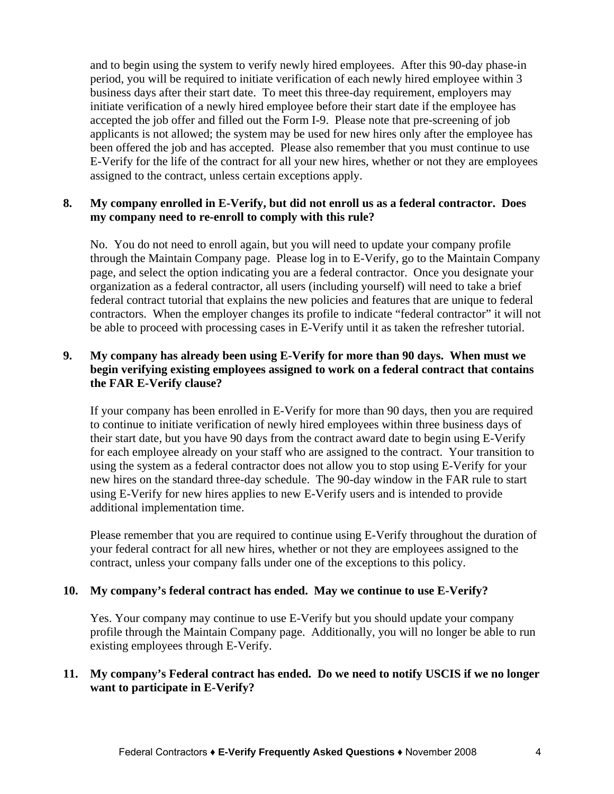and to begin using the system to verify newly hired employees. After this 90-day phase-in period, you will be required to initiate verification of each newly hired employee within 3 business days after their start date. To meet this three-day requirement, employers may initiate verification of a newly hired employee before their start date if the employee has accepted the job offer and filled out the Form I-9. Please note that pre-screening of job applicants is not allowed; the system may be used for new hires only after the employee has been offered the job and has accepted. Please also remember that you must continue to use E-Verify for the life of the contract for all your new hires, whether or not they are employees assigned to the contract, unless certain exceptions apply.

## **8. My company enrolled in E-Verify, but did not enroll us as a federal contractor. Does my company need to re-enroll to comply with this rule?**

No. You do not need to enroll again, but you will need to update your company profile through the Maintain Company page. Please log in to E-Verify, go to the Maintain Company page, and select the option indicating you are a federal contractor. Once you designate your organization as a federal contractor, all users (including yourself) will need to take a brief federal contract tutorial that explains the new policies and features that are unique to federal contractors. When the employer changes its profile to indicate "federal contractor" it will not be able to proceed with processing cases in E-Verify until it as taken the refresher tutorial.

## **9. My company has already been using E-Verify for more than 90 days. When must we begin verifying existing employees assigned to work on a federal contract that contains the FAR E-Verify clause?**

If your company has been enrolled in E-Verify for more than 90 days, then you are required to continue to initiate verification of newly hired employees within three business days of their start date, but you have 90 days from the contract award date to begin using E-Verify for each employee already on your staff who are assigned to the contract. Your transition to using the system as a federal contractor does not allow you to stop using E-Verify for your new hires on the standard three-day schedule. The 90-day window in the FAR rule to start using E-Verify for new hires applies to new E-Verify users and is intended to provide additional implementation time.

Please remember that you are required to continue using E-Verify throughout the duration of your federal contract for all new hires, whether or not they are employees assigned to the contract, unless your company falls under one of the exceptions to this policy.

#### **10. My company's federal contract has ended. May we continue to use E-Verify?**

Yes. Your company may continue to use E-Verify but you should update your company profile through the Maintain Company page. Additionally, you will no longer be able to run existing employees through E-Verify.

# **11. My company's Federal contract has ended. Do we need to notify USCIS if we no longer want to participate in E-Verify?**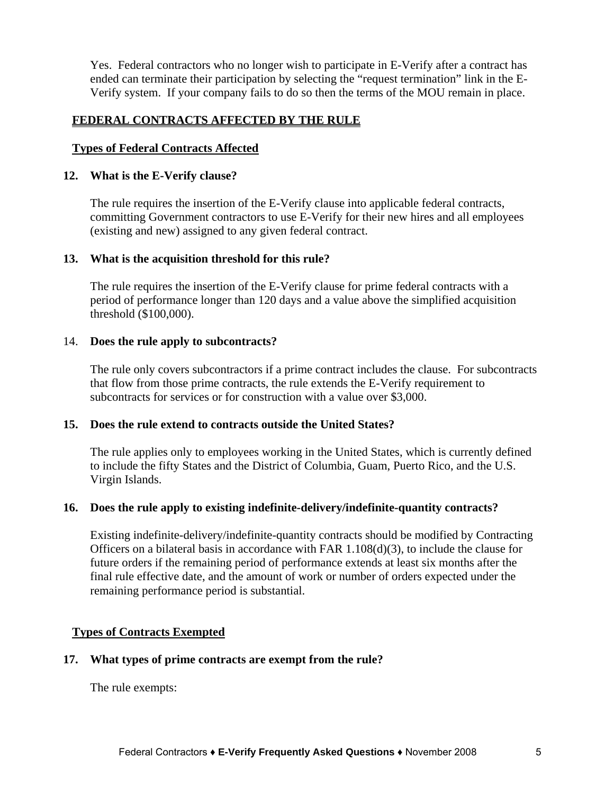Yes. Federal contractors who no longer wish to participate in E-Verify after a contract has ended can terminate their participation by selecting the "request termination" link in the E-Verify system. If your company fails to do so then the terms of the MOU remain in place.

## **FEDERAL CONTRACTS AFFECTED BY THE RULE**

## **Types of Federal Contracts Affected**

#### **12. What is the E-Verify clause?**

The rule requires the insertion of the E-Verify clause into applicable federal contracts, committing Government contractors to use E-Verify for their new hires and all employees (existing and new) assigned to any given federal contract.

#### **13. What is the acquisition threshold for this rule?**

The rule requires the insertion of the E-Verify clause for prime federal contracts with a period of performance longer than 120 days and a value above the simplified acquisition threshold (\$100,000).

#### 14. **Does the rule apply to subcontracts?**

The rule only covers subcontractors if a prime contract includes the clause. For subcontracts that flow from those prime contracts, the rule extends the E-Verify requirement to subcontracts for services or for construction with a value over \$3,000.

#### **15. Does the rule extend to contracts outside the United States?**

The rule applies only to employees working in the United States, which is currently defined to include the fifty States and the District of Columbia, Guam, Puerto Rico, and the U.S. Virgin Islands.

#### **16. Does the rule apply to existing indefinite-delivery/indefinite-quantity contracts?**

Existing indefinite-delivery/indefinite-quantity contracts should be modified by Contracting Officers on a bilateral basis in accordance with FAR  $1.108(d)(3)$ , to include the clause for future orders if the remaining period of performance extends at least six months after the final rule effective date, and the amount of work or number of orders expected under the remaining performance period is substantial.

#### **Types of Contracts Exempted**

#### **17. What types of prime contracts are exempt from the rule?**

The rule exempts: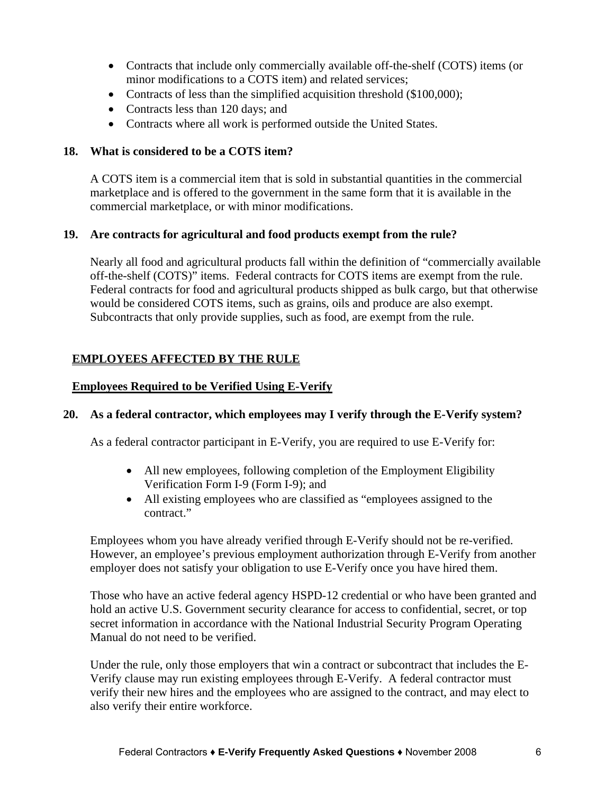- Contracts that include only commercially available off-the-shelf (COTS) items (or minor modifications to a COTS item) and related services;
- Contracts of less than the simplified acquisition threshold (\$100,000);
- Contracts less than 120 days; and
- Contracts where all work is performed outside the United States.

#### **18. What is considered to be a COTS item?**

A COTS item is a commercial item that is sold in substantial quantities in the commercial marketplace and is offered to the government in the same form that it is available in the commercial marketplace, or with minor modifications.

#### **19. Are contracts for agricultural and food products exempt from the rule?**

Nearly all food and agricultural products fall within the definition of "commercially available off-the-shelf (COTS)" items. Federal contracts for COTS items are exempt from the rule. Federal contracts for food and agricultural products shipped as bulk cargo, but that otherwise would be considered COTS items, such as grains, oils and produce are also exempt. Subcontracts that only provide supplies, such as food, are exempt from the rule.

## **EMPLOYEES AFFECTED BY THE RULE**

#### **Employees Required to be Verified Using E-Verify**

#### **20. As a federal contractor, which employees may I verify through the E-Verify system?**

As a federal contractor participant in E-Verify, you are required to use E-Verify for:

- All new employees, following completion of the Employment Eligibility Verification Form I-9 (Form I-9); and
- All existing employees who are classified as "employees assigned to the contract."

Employees whom you have already verified through E-Verify should not be re-verified. However, an employee's previous employment authorization through E-Verify from another employer does not satisfy your obligation to use E-Verify once you have hired them.

Those who have an active federal agency HSPD-12 credential or who have been granted and hold an active U.S. Government security clearance for access to confidential, secret, or top secret information in accordance with the National Industrial Security Program Operating Manual do not need to be verified.

Under the rule, only those employers that win a contract or subcontract that includes the E-Verify clause may run existing employees through E-Verify. A federal contractor must verify their new hires and the employees who are assigned to the contract, and may elect to also verify their entire workforce.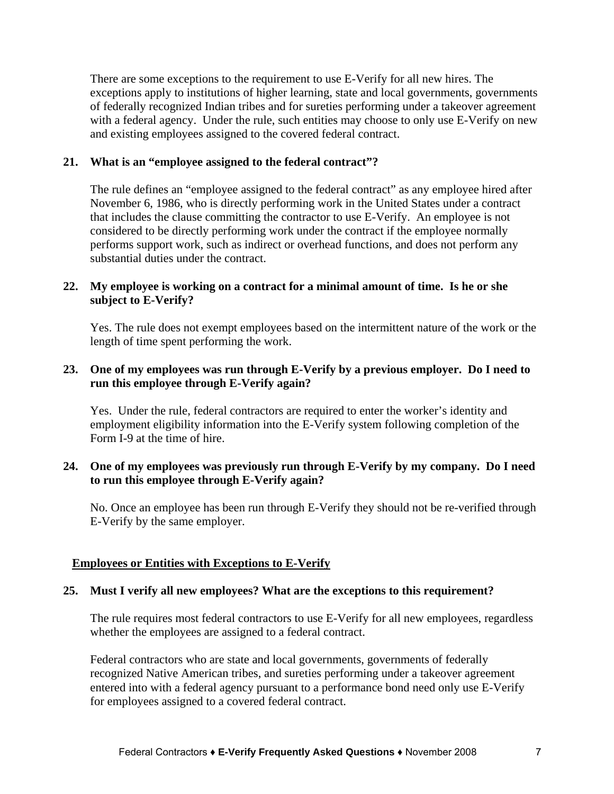There are some exceptions to the requirement to use E-Verify for all new hires. The exceptions apply to institutions of higher learning, state and local governments, governments of federally recognized Indian tribes and for sureties performing under a takeover agreement with a federal agency. Under the rule, such entities may choose to only use E-Verify on new and existing employees assigned to the covered federal contract.

## **21. What is an "employee assigned to the federal contract"?**

The rule defines an "employee assigned to the federal contract" as any employee hired after November 6, 1986, who is directly performing work in the United States under a contract that includes the clause committing the contractor to use E-Verify. An employee is not considered to be directly performing work under the contract if the employee normally performs support work, such as indirect or overhead functions, and does not perform any substantial duties under the contract.

## **22. My employee is working on a contract for a minimal amount of time. Is he or she subject to E-Verify?**

Yes. The rule does not exempt employees based on the intermittent nature of the work or the length of time spent performing the work.

# **23. One of my employees was run through E-Verify by a previous employer. Do I need to run this employee through E-Verify again?**

Yes. Under the rule, federal contractors are required to enter the worker's identity and employment eligibility information into the E-Verify system following completion of the Form I-9 at the time of hire.

# **24. One of my employees was previously run through E-Verify by my company. Do I need to run this employee through E-Verify again?**

No. Once an employee has been run through E-Verify they should not be re-verified through E-Verify by the same employer.

# **Employees or Entities with Exceptions to E-Verify**

#### **25. Must I verify all new employees? What are the exceptions to this requirement?**

The rule requires most federal contractors to use E-Verify for all new employees, regardless whether the employees are assigned to a federal contract.

Federal contractors who are state and local governments, governments of federally recognized Native American tribes, and sureties performing under a takeover agreement entered into with a federal agency pursuant to a performance bond need only use E-Verify for employees assigned to a covered federal contract.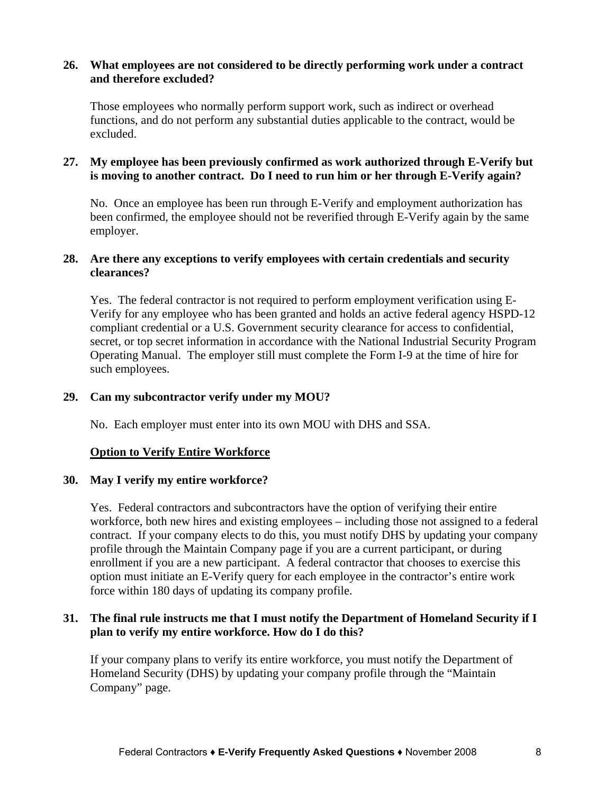#### **26. What employees are not considered to be directly performing work under a contract and therefore excluded?**

Those employees who normally perform support work, such as indirect or overhead functions, and do not perform any substantial duties applicable to the contract, would be excluded.

# **27. My employee has been previously confirmed as work authorized through E-Verify but is moving to another contract. Do I need to run him or her through E-Verify again?**

No. Once an employee has been run through E-Verify and employment authorization has been confirmed, the employee should not be reverified through E-Verify again by the same employer.

## **28. Are there any exceptions to verify employees with certain credentials and security clearances?**

Yes. The federal contractor is not required to perform employment verification using E-Verify for any employee who has been granted and holds an active federal agency HSPD-12 compliant credential or a U.S. Government security clearance for access to confidential, secret, or top secret information in accordance with the National Industrial Security Program Operating Manual. The employer still must complete the Form I-9 at the time of hire for such employees.

## **29. Can my subcontractor verify under my MOU?**

No. Each employer must enter into its own MOU with DHS and SSA.

#### **Option to Verify Entire Workforce**

#### **30. May I verify my entire workforce?**

Yes. Federal contractors and subcontractors have the option of verifying their entire workforce, both new hires and existing employees – including those not assigned to a federal contract. If your company elects to do this, you must notify DHS by updating your company profile through the Maintain Company page if you are a current participant, or during enrollment if you are a new participant. A federal contractor that chooses to exercise this option must initiate an E-Verify query for each employee in the contractor's entire work force within 180 days of updating its company profile.

#### **31. The final rule instructs me that I must notify the Department of Homeland Security if I plan to verify my entire workforce. How do I do this?**

If your company plans to verify its entire workforce, you must notify the Department of Homeland Security (DHS) by updating your company profile through the "Maintain Company" page.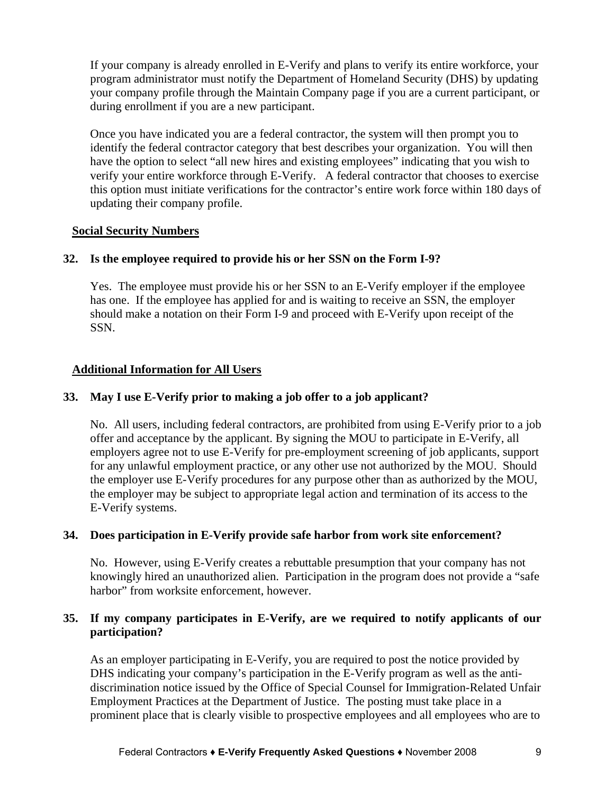If your company is already enrolled in E-Verify and plans to verify its entire workforce, your program administrator must notify the Department of Homeland Security (DHS) by updating your company profile through the Maintain Company page if you are a current participant, or during enrollment if you are a new participant.

Once you have indicated you are a federal contractor, the system will then prompt you to identify the federal contractor category that best describes your organization. You will then have the option to select "all new hires and existing employees" indicating that you wish to verify your entire workforce through E-Verify. A federal contractor that chooses to exercise this option must initiate verifications for the contractor's entire work force within 180 days of updating their company profile.

# **Social Security Numbers**

# **32. Is the employee required to provide his or her SSN on the Form I-9?**

Yes. The employee must provide his or her SSN to an E-Verify employer if the employee has one. If the employee has applied for and is waiting to receive an SSN, the employer should make a notation on their Form I-9 and proceed with E-Verify upon receipt of the SSN.

# **Additional Information for All Users**

## **33. May I use E-Verify prior to making a job offer to a job applicant?**

No. All users, including federal contractors, are prohibited from using E-Verify prior to a job offer and acceptance by the applicant. By signing the MOU to participate in E-Verify, all employers agree not to use E-Verify for pre-employment screening of job applicants, support for any unlawful employment practice, or any other use not authorized by the MOU. Should the employer use E-Verify procedures for any purpose other than as authorized by the MOU, the employer may be subject to appropriate legal action and termination of its access to the E-Verify systems.

#### **34. Does participation in E-Verify provide safe harbor from work site enforcement?**

No. However, using E-Verify creates a rebuttable presumption that your company has not knowingly hired an unauthorized alien. Participation in the program does not provide a "safe harbor" from worksite enforcement, however.

## **35. If my company participates in E-Verify, are we required to notify applicants of our participation?**

As an employer participating in E-Verify, you are required to post the notice provided by DHS indicating your company's participation in the E-Verify program as well as the antidiscrimination notice issued by the Office of Special Counsel for Immigration-Related Unfair Employment Practices at the Department of Justice. The posting must take place in a prominent place that is clearly visible to prospective employees and all employees who are to